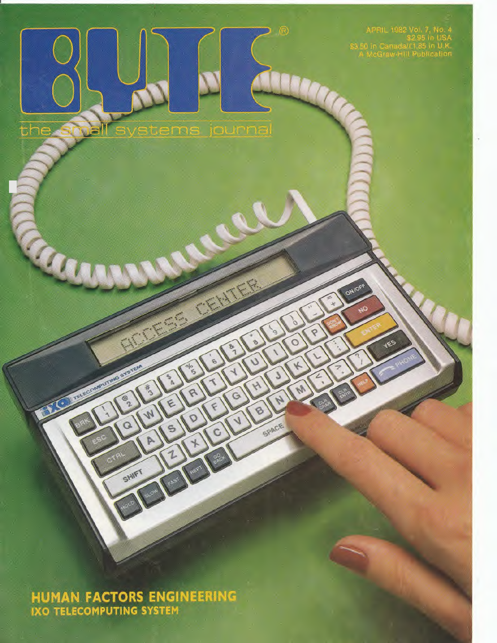APRIL 1982 Vol. 7, No. 4<br>\$2.95 in USA<br>\$3.50 in Canada/£1.85 in U.K.<br>A McGraw-Hill Publication

ONIOF

**JES** 

Q

 $\circ$ 

 $\mathcal{A}$ 

R

 $\Theta$ 

SPACE

 $\hat{G}$ 

®

stems journal

É

e

P

 $\mathcal{O}$ 

C

the

**HUMAN FACTORS ENGINEERING**<br>IXO TELECOMPUTING SYSTEM

SHIFT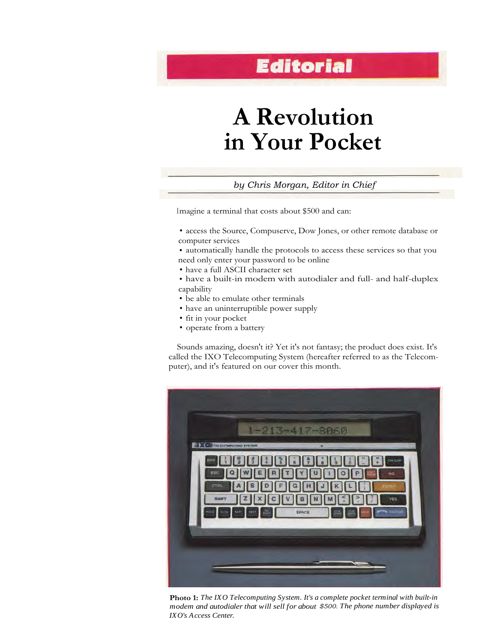# **A Revolution in Your Pocket**

# *by Chris Morgan, Editor in Chief*

Imagine a terminal that costs about \$500 and can:

- access the Source, Compuserve, Dow Jones, or other remote database or computer services
- automatically handle the protocols to access these services so that you need only enter your password to be online
- have a full ASCII character set
- have a built-in modem with autodialer and full- and half-duplex capability
- be able to emulate other terminals
- have an uninterruptible power supply
- fit in your pocket
- operate from a battery

Sounds amazing, doesn't it? Yet it's not fantasy; the product does exist. It's called the IXO Telecomputing System (hereafter referred to as the Telecomputer), and it's featured on our cover this month.



**Photo 1:** *The IXO Telecomputing System. It's a complete pocket terminal with built-in modem and autodialer that will sell for about \$500. The phone number displayed is IXO's Access Center.*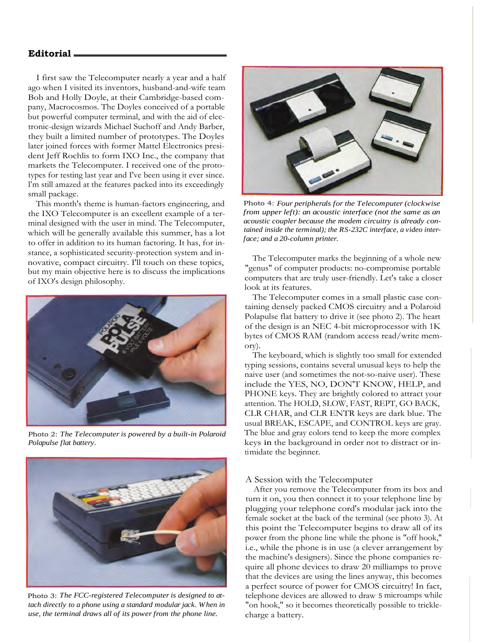I first saw the Telecomputer nearly a year and a half ago when I visited its inventors, husband-and-wife team Bob and Holly Doyle, at their Cambridge-based company, Macrocosmos. The Doyles conceived of a portable but powerful computer terminal, and with the aid of electronic-design wizards Michael Suchoff and Andy Barber, they built a limited number of prototypes. The Doyles later joined forces with former Mattel Electronics president Jeff Rochlis to form IXO Inc., the company that markets the Telecomputer. I received one of the prototypes for testing last year and I've been using it ever since. I'm still amazed at the features packed into its exceedingly small package.

This month's theme is human-factors engineering, and the IXO Telecomputer is an excellent example of a terminal designed with the user in mind. The Telecomputer, which will be generally available this summer, has a lot to offer in addition to its human factoring. It has, for instance, a sophisticated security-protection system and innovative, compact circuitry. I'll touch on these topics, but my main objective here is to discuss the implications of IXO's design philosophy.



Photo 2: *The Telecomputer is powered by a built-in Polaroid Polapulse flat battery.*



Photo 3: *The FCC-registered Telecomputer is designed to attach directly to a phone using a standard modular jack. When in use, the terminal draws all of its power from the phone line.*



Photo 4: *Four peripherals for the Telecomputer (clockwise from upper left): an acoustic interface (not the same as an acoustic coupler because the modem circuitry is already contained inside the terminal); the RS-232C interface, a video interface; and a 20-column printer.*

The Telecomputer marks the beginning of a whole new "genus" of computer products: no-compromise portable computers that are truly user-friendly. Let's take a closer look at its features.

The Telecomputer comes in a small plastic case containing densely packed CMOS circuitry and a Polaroid Polapulse flat battery to drive it (see photo 2). The heart of the design is an NEC 4-bit microprocessor with 1K bytes of CMOS RAM (random access read/write memory).

The keyboard, which is slightly too small for extended typing sessions, contains several unusual keys to help the naive user (and sometimes the not-so-naive user). These include the YES, NO, DON'T KNOW, HELP, and PHONE keys. They are brightly colored to attract your attention. The HOLD, SLOW, FAST, REPT, GO BACK, CLR CHAR, and CLR ENTR keys are dark blue. The usual BREAK, ESCAPE, and CONTROL keys are gray. The blue and gray colors tend to keep the more complex keys in the background in order not to distract or intimidate the beginner.

#### A Session with the Telecomputer

After you remove the Telecomputer from its box and turn it on, you then connect it to your telephone line by plugging your telephone cord's modular jack into the female socket at the back of the terminal (see photo 3). At this point the Telecomputer begins to draw all of its power from the phone line while the phone is "off hook," i.e., while the phone is in use (a clever arrangement by the machine's designers). Since the phone companies require all phone devices to draw 20 milliamps to prove that the devices are using the lines anyway, this becomes a perfect source of power for CMOS circuitry! In fact, telephone devices are allowed to draw 5 microamps while "on hook," so it becomes theoretically possible to tricklecharge a battery.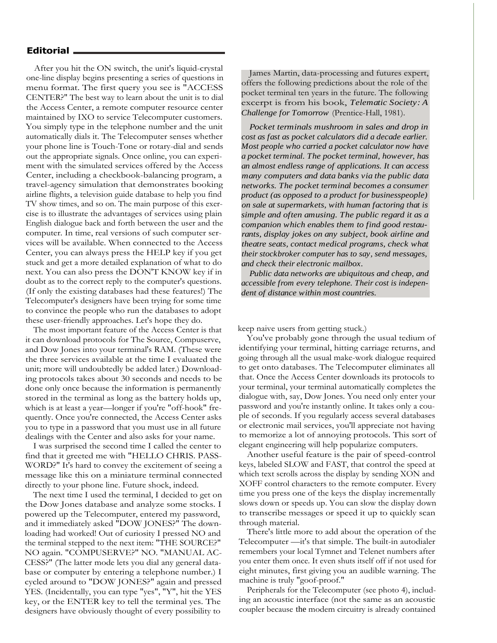After you hit the ON switch, the unit's liquid-crystal one-line display begins presenting a series of questions in menu format. The first query you see is "ACCESS CENTER?" The best way to learn about the unit is to dial the Access Center, a remote computer resource center maintained by IXO to service Telecomputer customers. You simply type in the telephone number and the unit automatically dials it. The Telecomputer senses whether your phone line is Touch-Tone or rotary-dial and sends out the appropriate signals. Once online, you can experiment with the simulated services offered by the Access Center, including a checkbook-balancing program, a travel-agency simulation that demonstrates booking airline flights, a television guide database to help you find TV show times, and so on. The main purpose of this exercise is to illustrate the advantages of services using plain English dialogue back and forth between the user and the computer. In time, real versions of such computer services will be available. When connected to the Access Center, you can always press the HELP key if you get stuck and get a more detailed explanation of what to do next. You can also press the DON'T KNOW key if in doubt as to the correct reply to the computer's questions. (If only the existing databases had these features!) The Telecomputer's designers have been trying for some time to convince the people who run the databases to adopt these user-friendly approaches. Let's hope they do.

The most important feature of the Access Center is that it can download protocols for The Source, Compuserve, and Dow Jones into your terminal's RAM. (These were the three services available at the time I evaluated the unit; more will undoubtedly be added later.) Downloading protocols takes about 30 seconds and needs to be done only once because the information is permanently stored in the terminal as long as the battery holds up, which is at least a year—longer if you're "off-hook" frequently. Once you're connected, the Access Center asks you to type in a password that you must use in all future dealings with the Center and also asks for your name.

I was surprised the second time I called the center to find that it greeted me with "HELLO CHRIS. PASS-WORD?" It's hard to convey the excitement of seeing a message like this on a miniature terminal connected directly to your phone line. Future shock, indeed.

The next time I used the terminal, I decided to get on the Dow Jones database and analyze some stocks. I powered up the Telecomputer, entered my password, and it immediately asked "DOW JONES?" The downloading had worked! Out of curiosity I pressed NO and the terminal stepped to the next item: "THE SOURCE?" NO again. "COMPUSERVE?" NO. "MANUAL AC-CESS?" (The latter mode lets you dial any general database or computer by entering a telephone number.) I cycled around to "DOW JONES?" again and pressed YES. (Incidentally, you can type "yes", "Y", hit the YES key, or the ENTER key to tell the terminal yes. The designers have obviously thought of every possibility to

James Martin, data-processing and futures expert, offers the following predictions about the role of the pocket terminal ten years in the future. The following excerpt is from his book, *Telematic Society: A Challenge for Tomorrow* (Prentice-Hall, 1981).

*Pocket terminals mushroom in sales and drop in cost as fast as pocket calculators did a decade earlier. Most people who carried a pocket calculator now have a pocket terminal. The pocket terminal, however, has an almost endless range of applications. It can access many computers and data banks via the public data networks. The pocket terminal becomes a consumer product (as opposed to a product for businesspeople) on sale at supermarkets, with human factoring that is simple and often amusing. The public regard it as a companion which enables them to find good restaurants, display jokes on any subject, book airline and theatre seats, contact medical programs, check what their stockbroker computer has to say, send messages, and check their electronic mailbox.*

*Public data networks are ubiquitous and cheap, and accessible from every telephone. Their cost is independent of distance within most countries.*

keep naive users from getting stuck.)

You've probably gone through the usual tedium of identifying your terminal, hitting carriage returns, and going through all the usual make-work dialogue required to get onto databases. The Telecomputer eliminates all that. Once the Access Center downloads its protocols to your terminal, your terminal automatically completes the dialogue with, say, Dow Jones. You need only enter your password and you're instantly online. It takes only a couple of seconds. If you regularly access several databases or electronic mail services, you'll appreciate not having to memorize a lot of annoying protocols. This sort of elegant engineering will help popularize computers.

Another useful feature is the pair of speed-control keys, labeled SLOW and FAST, that control the speed at which text scrolls across the display by sending XON and XOFF control characters to the remote computer. Every time you press one of the keys the display incrementally slows down or speeds up. You can slow the display down to transcribe messages or speed it up to quickly scan through material.

There's little more to add about the operation of the Telecomputer —it's that simple. The built-in autodialer remembers your local Tymnet and Telenet numbers after you enter them once. It even shuts itself off if not used for eight minutes, first giving you an audible warning. The machine is truly "goof-proof."

Peripherals for the Telecomputer (see photo 4), including an acoustic interface (not the same as an acoustic coupler because the modem circuitry is already contained